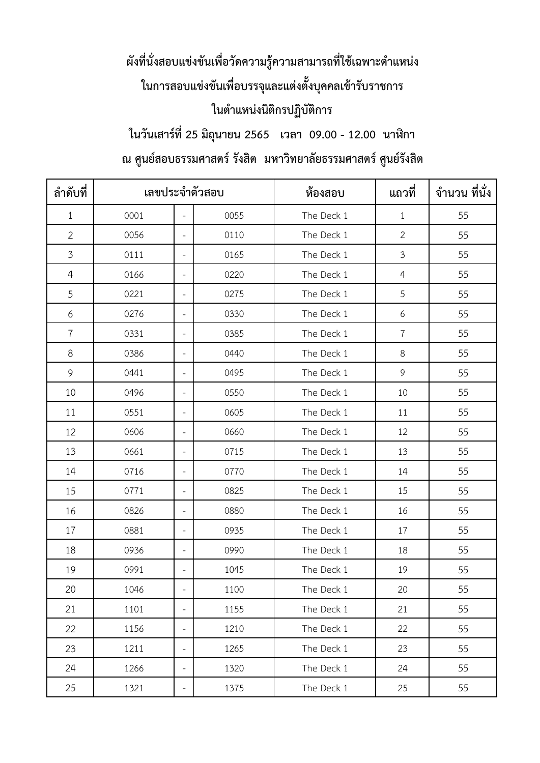## ้ผังที่นั่งสอบแข่งขันเพื่อวัดความรู้ความสามารถที่ใช้เฉพาะตำแหน่ง **ในกำรสอบแข่งขันเพื่อบรรจุและแต่งตั้งบุคคลเข้ำรับรำชกำร ในต ำแหน่งนิติกรปฏิบัติกำร**

**ในวันเสำร์ที่25 มิถุนำยน 2565 เวลำ 09.00 - 12.00 นำฬิกำ**

## **ณ ศูนย์สอบธรรมศำสตร์รังสิต มหำวิทยำลัยธรรมศำสตร์ศูนย์รังสิต**

| ลำดับที่       | เลขประจำตัวสอบ |                          |      | ห้องสอบ    | แถวที่         | จำนวน ที่นั่ง |
|----------------|----------------|--------------------------|------|------------|----------------|---------------|
| $\mathbf{1}$   | 0001           | $\overline{\phantom{a}}$ | 0055 | The Deck 1 | $\mathbf{1}$   | 55            |
| $\overline{2}$ | 0056           | $\overline{\phantom{a}}$ | 0110 | The Deck 1 | $\overline{2}$ | 55            |
| $\mathfrak{Z}$ | 0111           | $\equiv$                 | 0165 | The Deck 1 | 3              | 55            |
| 4              | 0166           | $\overline{\phantom{a}}$ | 0220 | The Deck 1 | $\overline{4}$ | 55            |
| 5              | 0221           | $\overline{\phantom{a}}$ | 0275 | The Deck 1 | 5              | 55            |
| 6              | 0276           | $\overline{\phantom{a}}$ | 0330 | The Deck 1 | 6              | 55            |
| $\overline{7}$ | 0331           | $\overline{\phantom{a}}$ | 0385 | The Deck 1 | $\overline{7}$ | 55            |
| 8              | 0386           | $\overline{\phantom{a}}$ | 0440 | The Deck 1 | 8              | 55            |
| 9              | 0441           | $\overline{\phantom{a}}$ | 0495 | The Deck 1 | 9              | 55            |
| 10             | 0496           | $\bar{a}$                | 0550 | The Deck 1 | 10             | 55            |
| 11             | 0551           | $\overline{\phantom{a}}$ | 0605 | The Deck 1 | 11             | 55            |
| 12             | 0606           | $\overline{\phantom{a}}$ | 0660 | The Deck 1 | 12             | 55            |
| 13             | 0661           | $\overline{\phantom{a}}$ | 0715 | The Deck 1 | 13             | 55            |
| 14             | 0716           | $\overline{\phantom{a}}$ | 0770 | The Deck 1 | 14             | 55            |
| 15             | 0771           | $\overline{\phantom{a}}$ | 0825 | The Deck 1 | 15             | 55            |
| 16             | 0826           | $\overline{\phantom{a}}$ | 0880 | The Deck 1 | 16             | 55            |
| 17             | 0881           | $\overline{\phantom{a}}$ | 0935 | The Deck 1 | 17             | 55            |
| 18             | 0936           | $\overline{\phantom{a}}$ | 0990 | The Deck 1 | 18             | 55            |
| 19             | 0991           | $\overline{\phantom{a}}$ | 1045 | The Deck 1 | 19             | 55            |
| 20             | 1046           | $\overline{\phantom{a}}$ | 1100 | The Deck 1 | 20             | 55            |
| 21             | 1101           | $\overline{\phantom{a}}$ | 1155 | The Deck 1 | 21             | 55            |
| 22             | 1156           | $\overline{\phantom{a}}$ | 1210 | The Deck 1 | 22             | 55            |
| 23             | 1211           | $\overline{\phantom{a}}$ | 1265 | The Deck 1 | 23             | 55            |
| 24             | 1266           | $\overline{\phantom{a}}$ | 1320 | The Deck 1 | 24             | 55            |
| 25             | 1321           | $\overline{\phantom{a}}$ | 1375 | The Deck 1 | 25             | 55            |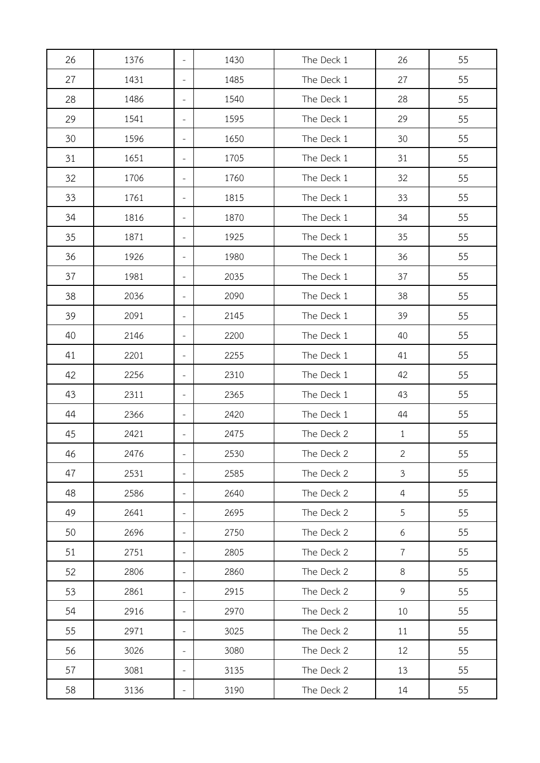| 26 | 1376 | $\overline{\phantom{a}}$ | 1430 | The Deck 1 | 26             | 55 |
|----|------|--------------------------|------|------------|----------------|----|
| 27 | 1431 | $\overline{\phantom{a}}$ | 1485 | The Deck 1 | 27             | 55 |
| 28 | 1486 | $\overline{\phantom{a}}$ | 1540 | The Deck 1 | 28             | 55 |
| 29 | 1541 | $\overline{\phantom{a}}$ | 1595 | The Deck 1 | 29             | 55 |
| 30 | 1596 | $\overline{\phantom{a}}$ | 1650 | The Deck 1 | 30             | 55 |
| 31 | 1651 | $\overline{\phantom{a}}$ | 1705 | The Deck 1 | 31             | 55 |
| 32 | 1706 | $\overline{\phantom{a}}$ | 1760 | The Deck 1 | 32             | 55 |
| 33 | 1761 | $\overline{\phantom{a}}$ | 1815 | The Deck 1 | 33             | 55 |
| 34 | 1816 | $\overline{\phantom{a}}$ | 1870 | The Deck 1 | 34             | 55 |
| 35 | 1871 | $\overline{\phantom{a}}$ | 1925 | The Deck 1 | 35             | 55 |
| 36 | 1926 | $\overline{\phantom{a}}$ | 1980 | The Deck 1 | 36             | 55 |
| 37 | 1981 | $\overline{\phantom{a}}$ | 2035 | The Deck 1 | 37             | 55 |
| 38 | 2036 | $\overline{\phantom{a}}$ | 2090 | The Deck 1 | 38             | 55 |
| 39 | 2091 | $\overline{\phantom{a}}$ | 2145 | The Deck 1 | 39             | 55 |
| 40 | 2146 | $\overline{\phantom{a}}$ | 2200 | The Deck 1 | 40             | 55 |
| 41 | 2201 | $\overline{\phantom{a}}$ | 2255 | The Deck 1 | 41             | 55 |
| 42 | 2256 | $\overline{\phantom{a}}$ | 2310 | The Deck 1 | 42             | 55 |
| 43 | 2311 | $\overline{\phantom{a}}$ | 2365 | The Deck 1 | 43             | 55 |
| 44 | 2366 | $\overline{\phantom{a}}$ | 2420 | The Deck 1 | 44             | 55 |
| 45 | 2421 | $\overline{\phantom{a}}$ | 2475 | The Deck 2 | $\mathbf{1}$   | 55 |
| 46 | 2476 |                          | 2530 | The Deck 2 | $\overline{2}$ | 55 |
| 47 | 2531 | $\overline{\phantom{a}}$ | 2585 | The Deck 2 | $\mathfrak{Z}$ | 55 |
| 48 | 2586 | $\overline{\phantom{a}}$ | 2640 | The Deck 2 | $\overline{4}$ | 55 |
| 49 | 2641 | $\overline{\phantom{a}}$ | 2695 | The Deck 2 | 5              | 55 |
| 50 | 2696 | $\overline{\phantom{a}}$ | 2750 | The Deck 2 | 6              | 55 |
| 51 | 2751 | $\overline{\phantom{a}}$ | 2805 | The Deck 2 | $\overline{7}$ | 55 |
| 52 | 2806 | $\overline{\phantom{a}}$ | 2860 | The Deck 2 | 8              | 55 |
| 53 | 2861 | $\overline{\phantom{a}}$ | 2915 | The Deck 2 | 9              | 55 |
| 54 | 2916 | $\overline{\phantom{a}}$ | 2970 | The Deck 2 | 10             | 55 |
| 55 | 2971 | $\overline{\phantom{a}}$ | 3025 | The Deck 2 | 11             | 55 |
| 56 | 3026 | $\overline{\phantom{a}}$ | 3080 | The Deck 2 | 12             | 55 |
| 57 | 3081 | $\overline{\phantom{a}}$ | 3135 | The Deck 2 | 13             | 55 |
| 58 | 3136 | $\overline{\phantom{a}}$ | 3190 | The Deck 2 | 14             | 55 |